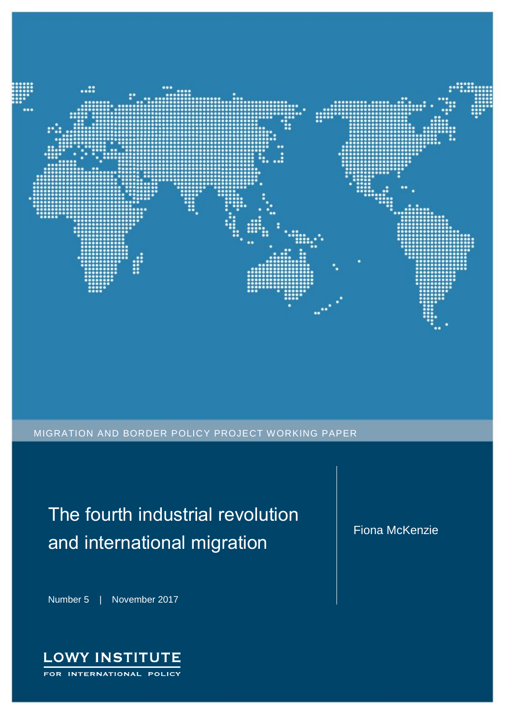

MIGRATION AND BORDER POLICY PROJECT WORKING PAPER

The fourth industrial revolution and international migration

Number 5 | November 2017



Fiona McKenzie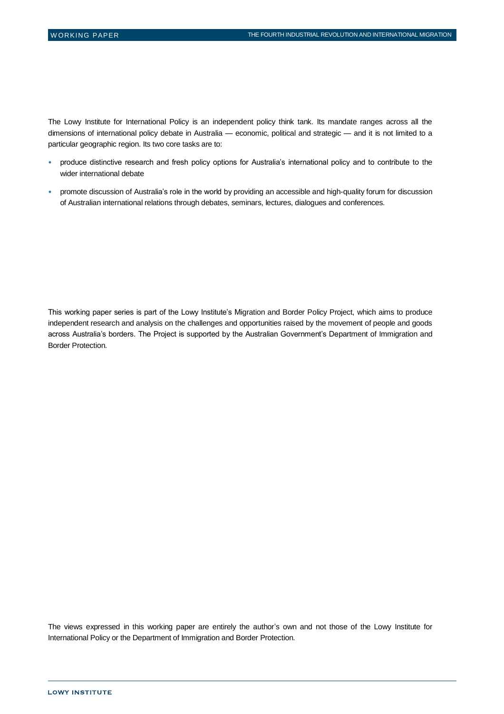The Lowy Institute for International Policy is an independent policy think tank. Its mandate ranges across all the dimensions of international policy debate in Australia — economic, political and strategic — and it is not limited to a particular geographic region. Its two core tasks are to:

- produce distinctive research and fresh policy options for Australia's international policy and to contribute to the wider international debate
- promote discussion of Australia's role in the world by providing an accessible and high-quality forum for discussion of Australian international relations through debates, seminars, lectures, dialogues and conferences.

This working paper series is part of the Lowy Institute's Migration and Border Policy Project, which aims to produce independent research and analysis on the challenges and opportunities raised by the movement of people and goods across Australia's borders. The Project is supported by the Australian Government's Department of Immigration and Border Protection.

The views expressed in this working paper are entirely the author's own and not those of the Lowy Institute for International Policy or the Department of Immigration and Border Protection.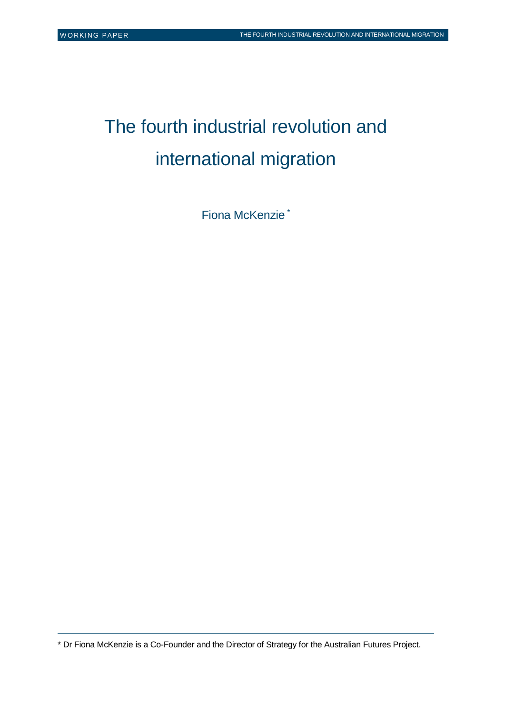$\overline{a}$ 

# The fourth industrial revolution and international migration

Fiona McKenzie \*

\* Dr Fiona McKenzie is a Co-Founder and the Director of Strategy for the Australian Futures Project.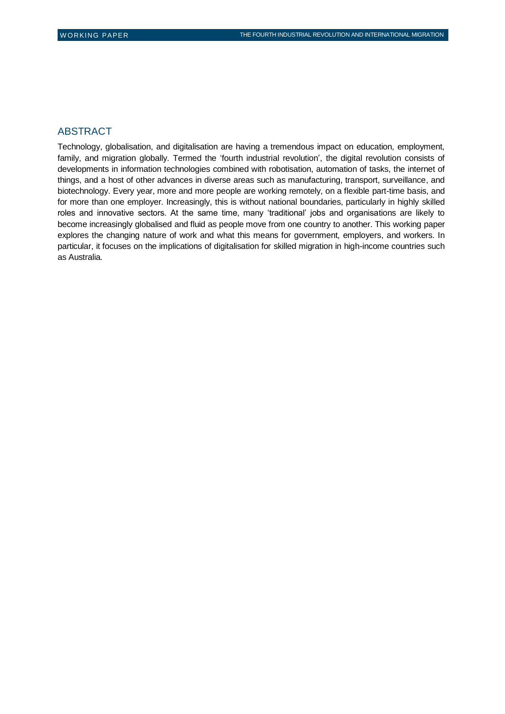#### ABSTRACT

Technology, globalisation, and digitalisation are having a tremendous impact on education, employment, family, and migration globally. Termed the 'fourth industrial revolution', the digital revolution consists of developments in information technologies combined with robotisation, automation of tasks, the internet of things, and a host of other advances in diverse areas such as manufacturing, transport, surveillance, and biotechnology. Every year, more and more people are working remotely, on a flexible part-time basis, and for more than one employer. Increasingly, this is without national boundaries, particularly in highly skilled roles and innovative sectors. At the same time, many 'traditional' jobs and organisations are likely to become increasingly globalised and fluid as people move from one country to another. This working paper explores the changing nature of work and what this means for government, employers, and workers. In particular, it focuses on the implications of digitalisation for skilled migration in high-income countries such as Australia.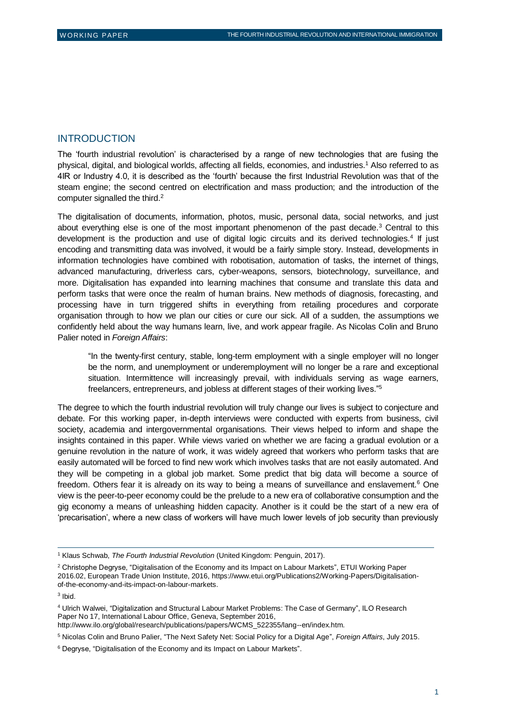#### INTRODUCTION

The 'fourth industrial revolution' is characterised by a range of new technologies that are fusing the physical, digital, and biological worlds, affecting all fields, economies, and industries.<sup>1</sup> Also referred to as 4IR or Industry 4.0, it is described as the 'fourth' because the first Industrial Revolution was that of the steam engine; the second centred on electrification and mass production; and the introduction of the computer signalled the third.<sup>2</sup>

The digitalisation of documents, information, photos, music, personal data, social networks, and just about everything else is one of the most important phenomenon of the past decade.<sup>3</sup> Central to this development is the production and use of digital logic circuits and its derived technologies.<sup>4</sup> If just encoding and transmitting data was involved, it would be a fairly simple story. Instead, developments in information technologies have combined with robotisation, automation of tasks, the internet of things, advanced manufacturing, driverless cars, cyber-weapons, sensors, biotechnology, surveillance, and more. Digitalisation has expanded into learning machines that consume and translate this data and perform tasks that were once the realm of human brains. New methods of diagnosis, forecasting, and processing have in turn triggered shifts in everything from retailing procedures and corporate organisation through to how we plan our cities or cure our sick. All of a sudden, the assumptions we confidently held about the way humans learn, live, and work appear fragile. As Nicolas Colin and Bruno Palier noted in *Foreign Affairs*:

"In the twenty-first century, stable, long-term employment with a single employer will no longer be the norm, and unemployment or underemployment will no longer be a rare and exceptional situation. Intermittence will increasingly prevail, with individuals serving as wage earners, freelancers, entrepreneurs, and jobless at different stages of their working lives."<sup>5</sup>

The degree to which the fourth industrial revolution will truly change our lives is subject to conjecture and debate. For this working paper, in-depth interviews were conducted with experts from business, civil society, academia and intergovernmental organisations. Their views helped to inform and shape the insights contained in this paper. While views varied on whether we are facing a gradual evolution or a genuine revolution in the nature of work, it was widely agreed that workers who perform tasks that are easily automated will be forced to find new work which involves tasks that are not easily automated. And they will be competing in a global job market. Some predict that big data will become a source of freedom. Others fear it is already on its way to being a means of surveillance and enslavement.<sup>6</sup> One view is the peer-to-peer economy could be the prelude to a new era of collaborative consumption and the gig economy a means of unleashing hidden capacity. Another is it could be the start of a new era of 'precarisation', where a new class of workers will have much lower levels of job security than previously

 $\overline{a}$ 

<sup>5</sup> Nicolas Colin and Bruno Palier, "The Next Safety Net: Social Policy for a Digital Age", *Foreign Affairs*, July 2015.

<sup>1</sup> Klaus Schwab, *The Fourth Industrial Revolution* (United Kingdom: Penguin, 2017).

<sup>&</sup>lt;sup>2</sup> Christophe Degryse, "Digitalisation of the Economy and its Impact on Labour Markets", ETUI Working Paper 2016.02, European Trade Union Institute, 2016, [https://www.etui.org/Publications2/Working-Papers/Digitalisation](https://www.etui.org/Publications2/Working-Papers/Digitalisation-of-the-economy-and-its-impact-on-labour-markets)[of-the-economy-and-its-impact-on-labour-markets.](https://www.etui.org/Publications2/Working-Papers/Digitalisation-of-the-economy-and-its-impact-on-labour-markets)

<sup>3</sup> Ibid.

<sup>4</sup> Ulrich Walwei, "Digitalization and Structural Labour Market Problems: The Case of Germany", ILO Research Paper No 17, International Labour Office, Geneva, September 2016,

[http://www.ilo.org/global/research/publications/papers/WCMS\\_522355/lang--en/index.htm.](http://www.ilo.org/global/research/publications/papers/WCMS_522355/lang--en/index.htm)

<sup>6</sup> Degryse, "Digitalisation of the Economy and its Impact on Labour Markets".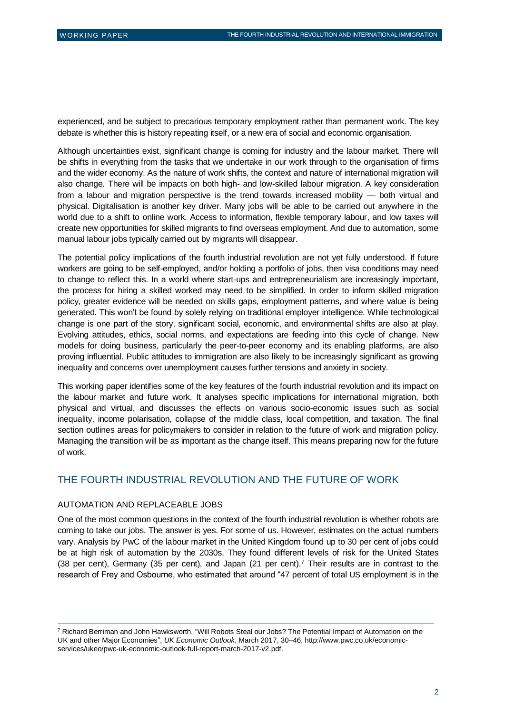experienced, and be subject to precarious temporary employment rather than permanent work. The key debate is whether this is history repeating itself, or a new era of social and economic organisation.

Although uncertainties exist, significant change is coming for industry and the labour market. There will be shifts in everything from the tasks that we undertake in our work through to the organisation of firms and the wider economy. As the nature of work shifts, the context and nature of international migration will also change. There will be impacts on both high- and low-skilled labour migration. A key consideration from a labour and migration perspective is the trend towards increased mobility — both virtual and physical. Digitalisation is another key driver. Many jobs will be able to be carried out anywhere in the world due to a shift to online work. Access to information, flexible temporary labour, and low taxes will create new opportunities for skilled migrants to find overseas employment. And due to automation, some manual labour jobs typically carried out by migrants will disappear.

The potential policy implications of the fourth industrial revolution are not yet fully understood. If future workers are going to be self-employed, and/or holding a portfolio of jobs, then visa conditions may need to change to reflect this. In a world where start-ups and entrepreneurialism are increasingly important, the process for hiring a skilled worked may need to be simplified. In order to inform skilled migration policy, greater evidence will be needed on skills gaps, employment patterns, and where value is being generated. This won't be found by solely relying on traditional employer intelligence. While technological change is one part of the story, significant social, economic, and environmental shifts are also at play. Evolving attitudes, ethics, social norms, and expectations are feeding into this cycle of change. New models for doing business, particularly the peer-to-peer economy and its enabling platforms, are also proving influential. Public attitudes to immigration are also likely to be increasingly significant as growing inequality and concerns over unemployment causes further tensions and anxiety in society.

This working paper identifies some of the key features of the fourth industrial revolution and its impact on the labour market and future work. It analyses specific implications for international migration, both physical and virtual, and discusses the effects on various socio-economic issues such as social inequality, income polarisation, collapse of the middle class, local competition, and taxation. The final section outlines areas for policymakers to consider in relation to the future of work and migration policy. Managing the transition will be as important as the change itself. This means preparing now for the future of work.

### THE FOURTH INDUSTRIAL REVOLUTION AND THE FUTURE OF WORK

#### AUTOMATION AND REPLACEABLE JOBS

 $\overline{a}$ 

One of the most common questions in the context of the fourth industrial revolution is whether robots are coming to take our jobs. The answer is yes. For some of us. However, estimates on the actual numbers vary. Analysis by PwC of the labour market in the United Kingdom found up to 30 per cent of jobs could be at high risk of automation by the 2030s. They found different levels of risk for the United States (38 per cent), Germany (35 per cent), and Japan (21 per cent).<sup>7</sup> Their results are in contrast to the research of Frey and Osbourne, who estimated that around "47 percent of total US employment is in the

<sup>7</sup> Richard Berriman and John Hawksworth, "Will Robots Steal our Jobs? The Potential Impact of Automation on the UK and other Major Economies", *UK Economic Outlook*, March 2017, 30–46, [http://www.pwc.co.uk/economic](http://www.pwc.co.uk/economic-services/ukeo/pwc-uk-economic-outlook-full-report-march-2017-v2.pdf)[services/ukeo/pwc-uk-economic-outlook-full-report-march-2017-v2.pdf.](http://www.pwc.co.uk/economic-services/ukeo/pwc-uk-economic-outlook-full-report-march-2017-v2.pdf)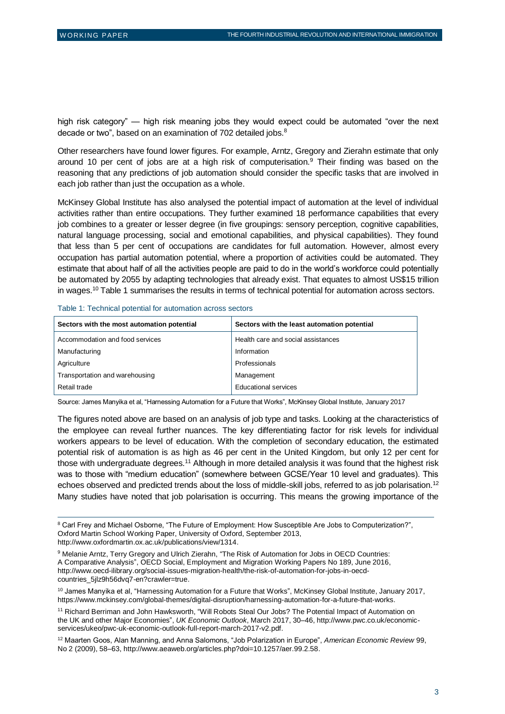$\overline{a}$ 

high risk category" — high risk meaning jobs they would expect could be automated "over the next decade or two", based on an examination of 702 detailed jobs.<sup>8</sup>

Other researchers have found lower figures. For example, Arntz, Gregory and Zierahn estimate that only around 10 per cent of jobs are at a high risk of computerisation.<sup>9</sup> Their finding was based on the reasoning that any predictions of job automation should consider the specific tasks that are involved in each job rather than just the occupation as a whole.

McKinsey Global Institute has also analysed the potential impact of automation at the level of individual activities rather than entire occupations. They further examined 18 performance capabilities that every job combines to a greater or lesser degree (in five groupings: sensory perception, cognitive capabilities, natural language processing, social and emotional capabilities, and physical capabilities). They found that less than 5 per cent of occupations are candidates for full automation. However, almost every occupation has partial automation potential, where a proportion of activities could be automated. They estimate that about half of all the activities people are paid to do in the world's workforce could potentially be automated by 2055 by adapting technologies that already exist. That equates to almost US\$15 trillion in wages.<sup>10</sup> Table 1 summarises the results in terms of technical potential for automation across sectors.

Table 1: Technical potential for automation across sectors

| Sectors with the most automation potential | Sectors with the least automation potential |
|--------------------------------------------|---------------------------------------------|
| Accommodation and food services            | Health care and social assistances          |
| Manufacturing                              | Information                                 |
| Agriculture                                | Professionals                               |
| Transportation and warehousing             | Management                                  |
| Retail trade                               | <b>Educational services</b>                 |

Source: James Manyika et al, "Harnessing Automation for a Future that Works", McKinsey Global Institute, January 2017

The figures noted above are based on an analysis of job type and tasks. Looking at the characteristics of the employee can reveal further nuances. The key differentiating factor for risk levels for individual workers appears to be level of education. With the completion of secondary education, the estimated potential risk of automation is as high as 46 per cent in the United Kingdom, but only 12 per cent for those with undergraduate degrees.<sup>11</sup> Although in more detailed analysis it was found that the highest risk was to those with "medium education" (somewhere between GCSE/Year 10 level and graduates). This echoes observed and predicted trends about the loss of middle-skill jobs, referred to as job polarisation.<sup>12</sup> Many studies have noted that job polarisation is occurring. This means the growing importance of the

<sup>8</sup> Carl Frey and Michael Osborne, "The Future of Employment: How Susceptible Are Jobs to Computerization?", Oxford Martin School Working Paper, University of Oxford, September 2013, [http://www.oxfordmartin.ox.ac.uk/publications/view/1314.](http://www.oxfordmartin.ox.ac.uk/publications/view/1314)

<sup>9</sup> Melanie Arntz, Terry Gregory and Ulrich Zierahn, "The Risk of Automation for Jobs in OECD Countries: A Comparative Analysis", OECD Social, Employment and Migration Working Papers No 189, June 2016, [http://www.oecd-ilibrary.org/social-issues-migration-health/the-risk-of-automation-for-jobs-in-oecd](http://www.oecd-ilibrary.org/social-issues-migration-health/the-risk-of-automation-for-jobs-in-oecd-countries_5jlz9h56dvq7-en?crawler=true)[countries\\_5jlz9h56dvq7-en?crawler=true.](http://www.oecd-ilibrary.org/social-issues-migration-health/the-risk-of-automation-for-jobs-in-oecd-countries_5jlz9h56dvq7-en?crawler=true)

<sup>10</sup> James Manyika et al, "Harnessing Automation for a Future that Works", McKinsey Global Institute, January 2017, [https://www.mckinsey.com/global-themes/digital-disruption/harnessing-automation-for-a-future-that-works.](https://www.mckinsey.com/global-themes/digital-disruption/harnessing-automation-for-a-future-that-works)

<sup>11</sup> Richard Berriman and John Hawksworth, "Will Robots Steal Our Jobs? The Potential Impact of Automation on the UK and other Major Economies", *UK Economic Outlook*, March 2017, 30–46, [http://www.pwc.co.uk/economic](http://www.pwc.co.uk/economic-services/ukeo/pwc-uk-economic-outlook-full-report-march-2017-v2.pdf)[services/ukeo/pwc-uk-economic-outlook-full-report-march-2017-v2.pdf.](http://www.pwc.co.uk/economic-services/ukeo/pwc-uk-economic-outlook-full-report-march-2017-v2.pdf)

<sup>12</sup> Maarten Goos, Alan Manning, and Anna Salomons, "Job Polarization in Europe", *American Economic Review* 99, No 2 (2009), 58–63, [http://www.aeaweb.org/articles.php?doi=10.1257/aer.99.2.58.](http://www.aeaweb.org/articles.php?doi=10.1257/aer.99.2.58)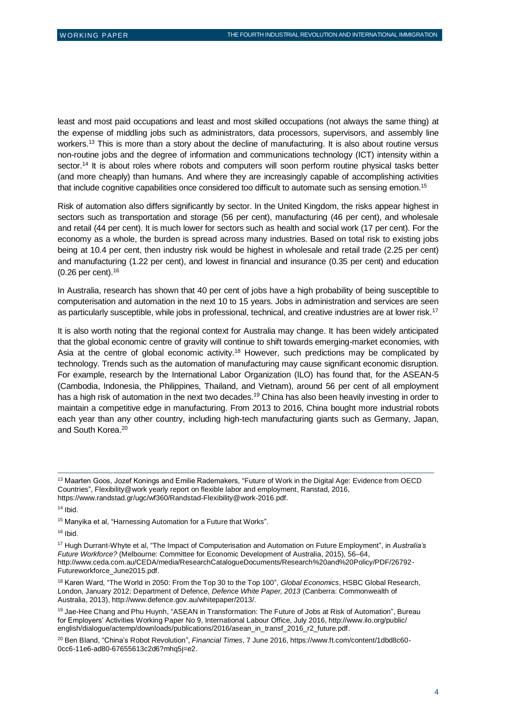least and most paid occupations and least and most skilled occupations (not always the same thing) at the expense of middling jobs such as administrators, data processors, supervisors, and assembly line workers.<sup>13</sup> This is more than a story about the decline of manufacturing. It is also about routine versus non-routine jobs and the degree of information and communications technology (ICT) intensity within a sector.<sup>14</sup> It is about roles where robots and computers will soon perform routine physical tasks better (and more cheaply) than humans. And where they are increasingly capable of accomplishing activities that include cognitive capabilities once considered too difficult to automate such as sensing emotion.<sup>15</sup>

Risk of automation also differs significantly by sector. In the United Kingdom, the risks appear highest in sectors such as transportation and storage (56 per cent), manufacturing (46 per cent), and wholesale and retail (44 per cent). It is much lower for sectors such as health and social work (17 per cent). For the economy as a whole, the burden is spread across many industries. Based on total risk to existing jobs being at 10.4 per cent, then industry risk would be highest in wholesale and retail trade (2.25 per cent) and manufacturing (1.22 per cent), and lowest in financial and insurance (0.35 per cent) and education (0.26 per cent).<sup>16</sup>

In Australia, research has shown that 40 per cent of jobs have a high probability of being susceptible to computerisation and automation in the next 10 to 15 years. Jobs in administration and services are seen as particularly susceptible, while jobs in professional, technical, and creative industries are at lower risk.<sup>17</sup>

It is also worth noting that the regional context for Australia may change. It has been widely anticipated that the global economic centre of gravity will continue to shift towards emerging-market economies, with Asia at the centre of global economic activity.<sup>18</sup> However, such predictions may be complicated by technology. Trends such as the automation of manufacturing may cause significant economic disruption. For example, research by the International Labor Organization (ILO) has found that, for the ASEAN-5 (Cambodia, Indonesia, the Philippines, Thailand, and Vietnam), around 56 per cent of all employment has a high risk of automation in the next two decades.<sup>19</sup> China has also been heavily investing in order to maintain a competitive edge in manufacturing. From 2013 to 2016, China bought more industrial robots each year than any other country, including high-tech manufacturing giants such as Germany, Japan, and South Korea.<sup>20</sup>

 $14$  Ibid.

 $\overline{a}$ 

 $16$  Ibid.

<sup>17</sup> Hugh Durrant-Whyte et al, "The Impact of Computerisation and Automation on Future Employment", in *Australia's Future Workforce?* (Melbourne: Committee for Economic Development of Australia, 2015), 56–64, [http://www.ceda.com.au/CEDA/media/ResearchCatalogueDocuments/Research%20and%20Policy/PDF/26792-](http://www.ceda.com.au/CEDA/media/ResearchCatalogueDocuments/Research%20and%20Policy/PDF/26792-Futureworkforce_June2015.pdf) [Futureworkforce\\_June2015.pdf.](http://www.ceda.com.au/CEDA/media/ResearchCatalogueDocuments/Research%20and%20Policy/PDF/26792-Futureworkforce_June2015.pdf)

<sup>18</sup> Karen Ward, "The World in 2050: From the Top 30 to the Top 100", *Global Economics*, HSBC Global Research, London, January 2012; Department of Defence, *Defence White Paper, 2013* (Canberra: Commonwealth of Australia, 2013), [http://www.defence.gov.au/whitepaper/2013/.](http://www.defence.gov.au/whitepaper/2013/)

<sup>19</sup> Jae-Hee Chang and Phu Huynh, "ASEAN in Transformation: The Future of Jobs at Risk of Automation", Bureau for Employers' Activities Working Paper No 9, International Labour Office, July 2016, http://www.ilo.org/public/ english/dialogue/actemp/downloads/publications/2016/asean\_in\_transf\_2016\_r2\_future.pdf.

<sup>&</sup>lt;sup>13</sup> Maarten Goos, Jozef Konings and Emilie Rademakers, "Future of Work in the Digital Age: Evidence from OECD Countries", Flexibility@work yearly report on flexible labor and employment, Ranstad, 2016, [https://www.randstad.gr/ugc/wf360/Randstad-Flexibility@work-2016.pdf.](https://www.randstad.gr/ugc/wf360/Randstad-Flexibility@work-2016.pdf) 

<sup>15</sup> Manyika et al, "Harnessing Automation for a Future that Works".

<sup>20</sup> Ben Bland, "China's Robot Revolution", *Financial Times*, 7 June 2016, [https://www.ft.com/content/1dbd8c60-](https://www.ft.com/content/1dbd8c60-0cc6-11e6-ad80-67655613c2d6?mhq5j=e2) [0cc6-11e6-ad80-67655613c2d6?mhq5j=e2.](https://www.ft.com/content/1dbd8c60-0cc6-11e6-ad80-67655613c2d6?mhq5j=e2)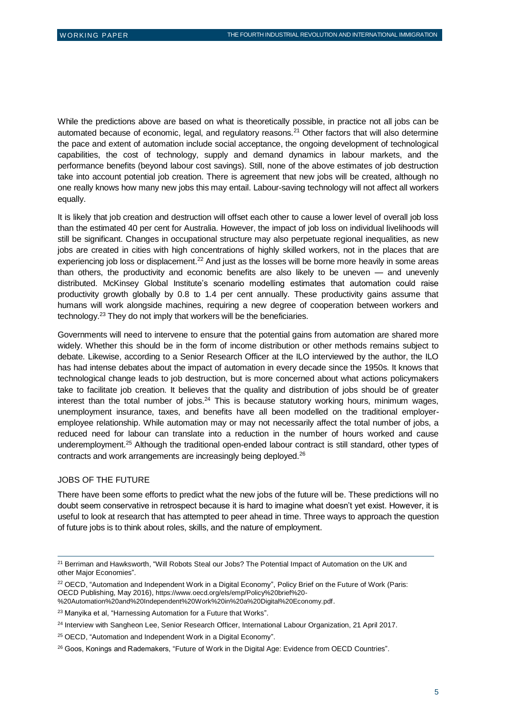While the predictions above are based on what is theoretically possible, in practice not all jobs can be automated because of economic, legal, and regulatory reasons.<sup>21</sup> Other factors that will also determine the pace and extent of automation include social acceptance, the ongoing development of technological capabilities, the cost of technology, supply and demand dynamics in labour markets, and the performance benefits (beyond labour cost savings). Still, none of the above estimates of job destruction take into account potential job creation. There is agreement that new jobs will be created, although no one really knows how many new jobs this may entail. Labour-saving technology will not affect all workers equally.

It is likely that job creation and destruction will offset each other to cause a lower level of overall job loss than the estimated 40 per cent for Australia. However, the impact of job loss on individual livelihoods will still be significant. Changes in occupational structure may also perpetuate regional inequalities, as new jobs are created in cities with high concentrations of highly skilled workers, not in the places that are experiencing job loss or displacement.<sup>22</sup> And just as the losses will be borne more heavily in some areas than others, the productivity and economic benefits are also likely to be uneven — and unevenly distributed. McKinsey Global Institute's scenario modelling estimates that automation could raise productivity growth globally by 0.8 to 1.4 per cent annually. These productivity gains assume that humans will work alongside machines, requiring a new degree of cooperation between workers and technology.<sup>23</sup> They do not imply that workers will be the beneficiaries.

Governments will need to intervene to ensure that the potential gains from automation are shared more widely. Whether this should be in the form of income distribution or other methods remains subject to debate. Likewise, according to a Senior Research Officer at the ILO interviewed by the author, the ILO has had intense debates about the impact of automation in every decade since the 1950s. It knows that technological change leads to job destruction, but is more concerned about what actions policymakers take to facilitate job creation. It believes that the quality and distribution of jobs should be of greater interest than the total number of  $jobs.<sup>24</sup>$  This is because statutory working hours, minimum wages, unemployment insurance, taxes, and benefits have all been modelled on the traditional employeremployee relationship. While automation may or may not necessarily affect the total number of jobs, a reduced need for labour can translate into a reduction in the number of hours worked and cause underemployment.<sup>25</sup> Although the traditional open-ended labour contract is still standard, other types of contracts and work arrangements are increasingly being deployed.<sup>26</sup>

#### JOBS OF THE FUTURE

 $\overline{a}$ 

There have been some efforts to predict what the new jobs of the future will be. These predictions will no doubt seem conservative in retrospect because it is hard to imagine what doesn't yet exist. However, it is useful to look at research that has attempted to peer ahead in time. Three ways to approach the question of future jobs is to think about roles, skills, and the nature of employment.

<sup>&</sup>lt;sup>21</sup> Berriman and Hawksworth, "Will Robots Steal our Jobs? The Potential Impact of Automation on the UK and other Major Economies".

<sup>&</sup>lt;sup>22</sup> OECD, "Automation and Independent Work in a Digital Economy", Policy Brief on the Future of Work (Paris: OECD Publishing, May 2016), [https://www.oecd.org/els/emp/Policy%20brief%20-](https://www.oecd.org/els/emp/Policy%20brief%20-%20Automation%20and%20Independent%20Work%20in%20a%20Digital%20Economy.pdf)

[<sup>%20</sup>Automation%20and%20Independent%20Work%20in%20a%20Digital%20Economy.pdf](https://www.oecd.org/els/emp/Policy%20brief%20-%20Automation%20and%20Independent%20Work%20in%20a%20Digital%20Economy.pdf).

<sup>&</sup>lt;sup>23</sup> Manyika et al, "Harnessing Automation for a Future that Works".

<sup>&</sup>lt;sup>24</sup> Interview with Sangheon Lee, Senior Research Officer, International Labour Organization, 21 April 2017.

<sup>25</sup> OECD, "Automation and Independent Work in a Digital Economy".

<sup>&</sup>lt;sup>26</sup> Goos, Konings and Rademakers, "Future of Work in the Digital Age: Evidence from OECD Countries".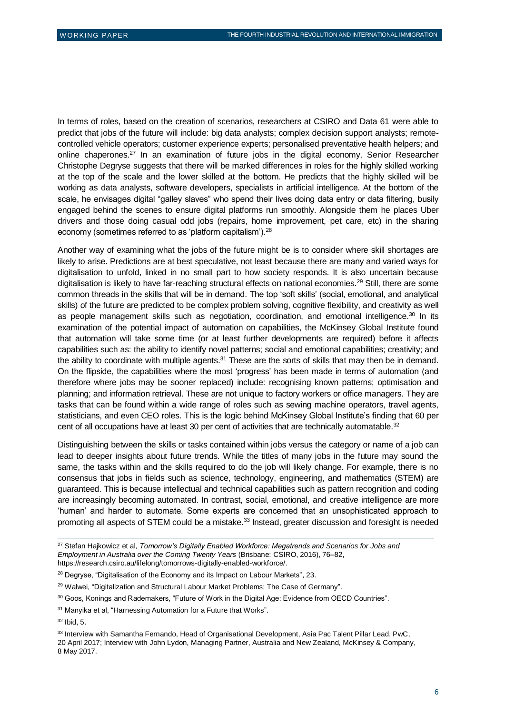In terms of roles, based on the creation of scenarios, researchers at CSIRO and Data 61 were able to predict that jobs of the future will include: big data analysts; complex decision support analysts; remotecontrolled vehicle operators; customer experience experts; personalised preventative health helpers; and online chaperones.<sup>27</sup> In an examination of future jobs in the digital economy, Senior Researcher Christophe Degryse suggests that there will be marked differences in roles for the highly skilled working at the top of the scale and the lower skilled at the bottom. He predicts that the highly skilled will be working as data analysts, software developers, specialists in artificial intelligence. At the bottom of the scale, he envisages digital "galley slaves" who spend their lives doing data entry or data filtering, busily engaged behind the scenes to ensure digital platforms run smoothly. Alongside them he places Uber drivers and those doing casual odd jobs (repairs, home improvement, pet care, etc) in the sharing economy (sometimes referred to as 'platform capitalism').<sup>28</sup>

Another way of examining what the jobs of the future might be is to consider where skill shortages are likely to arise. Predictions are at best speculative, not least because there are many and varied ways for digitalisation to unfold, linked in no small part to how society responds. It is also uncertain because digitalisation is likely to have far-reaching structural effects on national economies.<sup>29</sup> Still, there are some common threads in the skills that will be in demand. The top 'soft skills' (social, emotional, and analytical skills) of the future are predicted to be complex problem solving, cognitive flexibility, and creativity as well as people management skills such as negotiation, coordination, and emotional intelligence.<sup>30</sup> In its examination of the potential impact of automation on capabilities, the McKinsey Global Institute found that automation will take some time (or at least further developments are required) before it affects capabilities such as: the ability to identify novel patterns; social and emotional capabilities; creativity; and the ability to coordinate with multiple agents.<sup>31</sup> These are the sorts of skills that may then be in demand. On the flipside, the capabilities where the most 'progress' has been made in terms of automation (and therefore where jobs may be sooner replaced) include: recognising known patterns; optimisation and planning; and information retrieval. These are not unique to factory workers or office managers. They are tasks that can be found within a wide range of roles such as sewing machine operators, travel agents, statisticians, and even CEO roles. This is the logic behind McKinsey Global Institute's finding that 60 per cent of all occupations have at least 30 per cent of activities that are technically automatable.<sup>32</sup>

Distinguishing between the skills or tasks contained within jobs versus the category or name of a job can lead to deeper insights about future trends. While the titles of many jobs in the future may sound the same, the tasks within and the skills required to do the job will likely change. For example, there is no consensus that jobs in fields such as science, technology, engineering, and mathematics (STEM) are guaranteed. This is because intellectual and technical capabilities such as pattern recognition and coding are increasingly becoming automated. In contrast, social, emotional, and creative intelligence are more 'human' and harder to automate. Some experts are concerned that an unsophisticated approach to promoting all aspects of STEM could be a mistake.<sup>33</sup> Instead, greater discussion and foresight is needed

<sup>27</sup> Stefan Hajkowicz et al, *Tomorrow's Digitally Enabled Workforce: Megatrends and Scenarios for Jobs and Employment in Australia over the Coming Twenty Years* (Brisbane: CSIRO, 2016), 76–82, [https://research.csiro.au/lifelong/tomorrows-digitally-enabled-workforce/.](https://research.csiro.au/lifelong/tomorrows-digitally-enabled-workforce/)

<sup>&</sup>lt;sup>28</sup> Degryse, "Digitalisation of the Economy and its Impact on Labour Markets", 23.

<sup>&</sup>lt;sup>29</sup> Walwei, "Digitalization and Structural Labour Market Problems: The Case of Germany".

<sup>30</sup> Goos, Konings and Rademakers, "Future of Work in the Digital Age: Evidence from OECD Countries".

<sup>&</sup>lt;sup>31</sup> Manyika et al, "Harnessing Automation for a Future that Works".

 $32$  Ibid, 5.

<sup>&</sup>lt;sup>33</sup> Interview with Samantha Fernando, Head of Organisational Development, Asia Pac Talent Pillar Lead, PwC, 20 April 2017; Interview with John Lydon, Managing Partner, Australia and New Zealand, McKinsey & Company, 8 May 2017.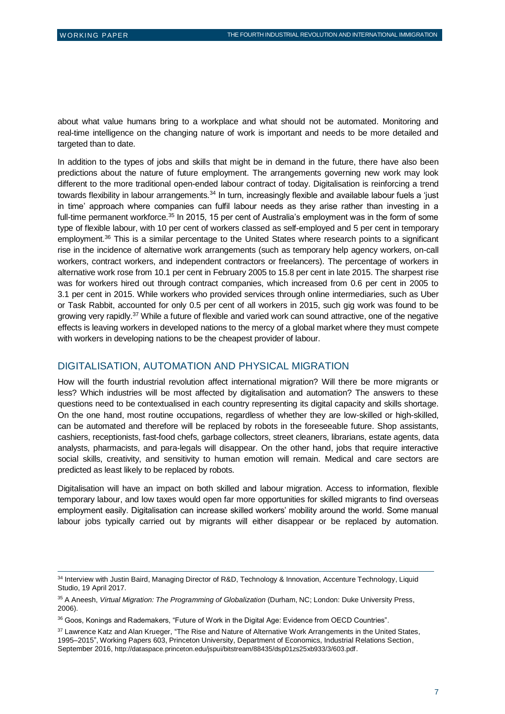$\overline{a}$ 

about what value humans bring to a workplace and what should not be automated. Monitoring and real-time intelligence on the changing nature of work is important and needs to be more detailed and targeted than to date.

In addition to the types of jobs and skills that might be in demand in the future, there have also been predictions about the nature of future employment. The arrangements governing new work may look different to the more traditional open-ended labour contract of today. Digitalisation is reinforcing a trend towards flexibility in labour arrangements.<sup>34</sup> In turn, increasingly flexible and available labour fuels a 'just in time' approach where companies can fulfil labour needs as they arise rather than investing in a full-time permanent workforce.<sup>35</sup> In 2015, 15 per cent of Australia's employment was in the form of some type of flexible labour, with 10 per cent of workers classed as self-employed and 5 per cent in temporary employment.<sup>36</sup> This is a similar percentage to the United States where research points to a significant rise in the incidence of alternative work arrangements (such as temporary help agency workers, on-call workers, contract workers, and independent contractors or freelancers). The percentage of workers in alternative work rose from 10.1 per cent in February 2005 to 15.8 per cent in late 2015. The sharpest rise was for workers hired out through contract companies, which increased from 0.6 per cent in 2005 to 3.1 per cent in 2015. While workers who provided services through online intermediaries, such as Uber or Task Rabbit, accounted for only 0.5 per cent of all workers in 2015, such gig work was found to be growing very rapidly.<sup>37</sup> While a future of flexible and varied work can sound attractive, one of the negative effects is leaving workers in developed nations to the mercy of a global market where they must compete with workers in developing nations to be the cheapest provider of labour.

#### DIGITALISATION, AUTOMATION AND PHYSICAL MIGRATION

How will the fourth industrial revolution affect international migration? Will there be more migrants or less? Which industries will be most affected by digitalisation and automation? The answers to these questions need to be contextualised in each country representing its digital capacity and skills shortage. On the one hand, most routine occupations, regardless of whether they are low-skilled or high-skilled, can be automated and therefore will be replaced by robots in the foreseeable future. Shop assistants, cashiers, receptionists, fast-food chefs, garbage collectors, street cleaners, librarians, estate agents, data analysts, pharmacists, and para-legals will disappear. On the other hand, jobs that require interactive social skills, creativity, and sensitivity to human emotion will remain. Medical and care sectors are predicted as least likely to be replaced by robots.

Digitalisation will have an impact on both skilled and labour migration. Access to information, flexible temporary labour, and low taxes would open far more opportunities for skilled migrants to find overseas employment easily. Digitalisation can increase skilled workers' mobility around the world. Some manual labour jobs typically carried out by migrants will either disappear or be replaced by automation.

<sup>34</sup> Interview with Justin Baird, Managing Director of R&D, Technology & Innovation, Accenture Technology, Liquid Studio, 19 April 2017.

<sup>35</sup> A Aneesh, *Virtual Migration: The Programming of Globalization* (Durham, NC; London: Duke University Press, 2006).

<sup>36</sup> Goos, Konings and Rademakers, "Future of Work in the Digital Age: Evidence from OECD Countries".

<sup>37</sup> Lawrence Katz and Alan Krueger, "The Rise and Nature of Alternative Work Arrangements in the United States, 1995–2015", Working Papers 603, Princeton University, Department of Economics, Industrial Relations Section, September 2016, <http://dataspace.princeton.edu/jspui/bitstream/88435/dsp01zs25xb933/3/603.pdf>.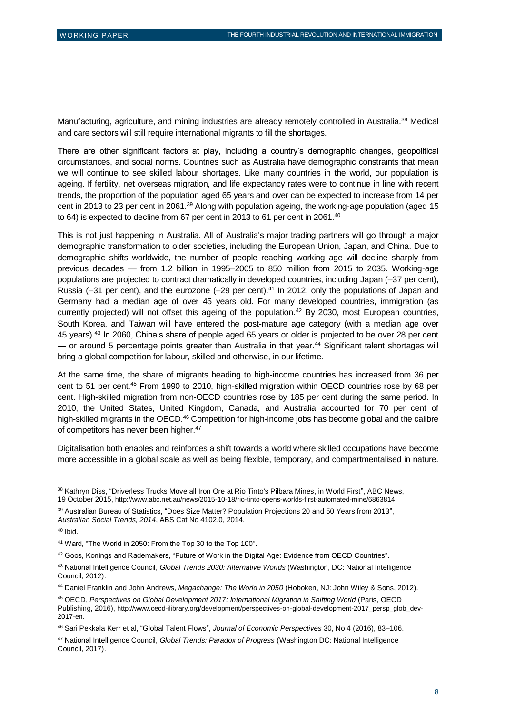Manufacturing, agriculture, and mining industries are already remotely controlled in Australia.<sup>38</sup> Medical and care sectors will still require international migrants to fill the shortages.

There are other significant factors at play, including a country's demographic changes, geopolitical circumstances, and social norms. Countries such as Australia have demographic constraints that mean we will continue to see skilled labour shortages. Like many countries in the world, our population is ageing. If fertility, net overseas migration, and life expectancy rates were to continue in line with recent trends, the proportion of the population aged 65 years and over can be expected to increase from 14 per cent in 2013 to 23 per cent in 2061.<sup>39</sup> Along with population ageing, the working-age population (aged 15 to 64) is expected to decline from 67 per cent in 2013 to 61 per cent in 2061.<sup>40</sup>

This is not just happening in Australia. All of Australia's major trading partners will go through a major demographic transformation to older societies, including the European Union, Japan, and China. Due to demographic shifts worldwide, the number of people reaching working age will decline sharply from previous decades — from 1.2 billion in 1995–2005 to 850 million from 2015 to 2035. Working-age populations are projected to contract dramatically in developed countries, including Japan (–37 per cent), Russia (-31 per cent), and the eurozone (-29 per cent).<sup>41</sup> In 2012, only the populations of Japan and Germany had a median age of over 45 years old. For many developed countries, immigration (as currently projected) will not offset this ageing of the population.<sup>42</sup> By 2030, most European countries, South Korea, and Taiwan will have entered the post-mature age category (with a median age over 45 years).<sup>43</sup> In 2060, China's share of people aged 65 years or older is projected to be over 28 per cent — or around 5 percentage points greater than Australia in that year.<sup>44</sup> Significant talent shortages will bring a global competition for labour, skilled and otherwise, in our lifetime.

At the same time, the share of migrants heading to high-income countries has increased from 36 per cent to 51 per cent.<sup>45</sup> From 1990 to 2010, high-skilled migration within OECD countries rose by 68 per cent. High-skilled migration from non-OECD countries rose by 185 per cent during the same period. In 2010, the United States, United Kingdom, Canada, and Australia accounted for 70 per cent of high-skilled migrants in the OECD.<sup>46</sup> Competition for high-income jobs has become global and the calibre of competitors has never been higher.<sup>47</sup>

Digitalisation both enables and reinforces a shift towards a world where skilled occupations have become more accessible in a global scale as well as being flexible, temporary, and compartmentalised in nature.

 $\overline{a}$ 

42 Goos, Konings and Rademakers, "Future of Work in the Digital Age: Evidence from OECD Countries".

<sup>38</sup> Kathryn Diss, "Driverless Trucks Move all Iron Ore at Rio Tinto's Pilbara Mines, in World First", ABC News, 19 October 2015, <http://www.abc.net.au/news/2015-10-18/rio-tinto-opens-worlds-first-automated-mine/6863814>.

<sup>39</sup> Australian Bureau of Statistics, "Does Size Matter? Population Projections 20 and 50 Years from 2013", *Australian Social Trends, 2014*, ABS Cat No 4102.0, 2014.

 $40$  Ibid.

<sup>41</sup> Ward, "The World in 2050: From the Top 30 to the Top 100".

<sup>43</sup> National Intelligence Council, *Global Trends 2030: Alternative Worlds* (Washington, DC: National Intelligence Council, 2012).

<sup>44</sup> Daniel Franklin and John Andrews, *Megachange: The World in 2050* (Hoboken, NJ: John Wiley & Sons, 2012).

<sup>45</sup> OECD, *Perspectives on Global Development 2017: International Migration in Shifting World* (Paris, OECD Publishing, 2016), [http://www.oecd-ilibrary.org/development/perspectives-on-global-development-2017\\_persp\\_glob\\_dev-](http://www.oecd-ilibrary.org/development/perspectives-on-global-development-2017_persp_glob_dev-2017-en)[2017-en](http://www.oecd-ilibrary.org/development/perspectives-on-global-development-2017_persp_glob_dev-2017-en).

<sup>46</sup> Sari Pekkala Kerr et al, "Global Talent Flows", *Journal of Economic Perspectives* 30, No 4 (2016), 83–106.

<sup>47</sup> National Intelligence Council, *Global Trends: Paradox of Progress* (Washington DC: National Intelligence Council, 2017).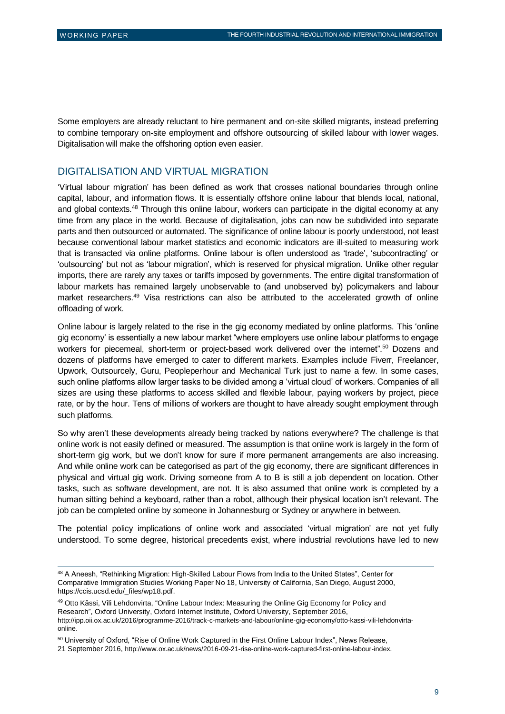$\overline{a}$ 

Some employers are already reluctant to hire permanent and on-site skilled migrants, instead preferring to combine temporary on-site employment and offshore outsourcing of skilled labour with lower wages. Digitalisation will make the offshoring option even easier.

#### DIGITALISATION AND VIRTUAL MIGRATION

'Virtual labour migration' has been defined as work that crosses national boundaries through online capital, labour, and information flows. It is essentially offshore online labour that blends local, national, and global contexts.<sup>48</sup> Through this online labour, workers can participate in the digital economy at any time from any place in the world. Because of digitalisation, jobs can now be subdivided into separate parts and then outsourced or automated. The significance of online labour is poorly understood, not least because conventional labour market statistics and economic indicators are ill-suited to measuring work that is transacted via online platforms. Online labour is often understood as 'trade', 'subcontracting' or 'outsourcing' but not as 'labour migration', which is reserved for physical migration. Unlike other regular imports, there are rarely any taxes or tariffs imposed by governments. The entire digital transformation of labour markets has remained largely unobservable to (and unobserved by) policymakers and labour market researchers.<sup>49</sup> Visa restrictions can also be attributed to the accelerated growth of online offloading of work.

Online labour is largely related to the rise in the gig economy mediated by online platforms. This 'online gig economy' is essentially a new labour market "where employers use online labour platforms to engage workers for piecemeal, short-term or project-based work delivered over the internet".<sup>50</sup> Dozens and dozens of platforms have emerged to cater to different markets. Examples include Fiverr, Freelancer, Upwork, Outsourcely, Guru, Peopleperhour and Mechanical Turk just to name a few. In some cases, such online platforms allow larger tasks to be divided among a 'virtual cloud' of workers. Companies of all sizes are using these platforms to access skilled and flexible labour, paying workers by project, piece rate, or by the hour. Tens of millions of workers are thought to have already sought employment through such platforms.

So why aren't these developments already being tracked by nations everywhere? The challenge is that online work is not easily defined or measured. The assumption is that online work is largely in the form of short-term gig work, but we don't know for sure if more permanent arrangements are also increasing. And while online work can be categorised as part of the gig economy, there are significant differences in physical and virtual gig work. Driving someone from A to B is still a job dependent on location. Other tasks, such as software development, are not. It is also assumed that online work is completed by a human sitting behind a keyboard, rather than a robot, although their physical location isn't relevant. The job can be completed online by someone in Johannesburg or Sydney or anywhere in between.

The potential policy implications of online work and associated 'virtual migration' are not yet fully understood. To some degree, historical precedents exist, where industrial revolutions have led to new

49 Otto Kässi, Vili Lehdonvirta, "Online Labour Index: Measuring the Online Gig Economy for Policy and Research", Oxford University, Oxford Internet Institute, Oxford University, September 2016, [http://ipp.oii.ox.ac.uk/2016/programme-2016/track-c-markets-and-labour/online-gig-economy/otto-kassi-vili-lehdonvirta](http://ipp.oii.ox.ac.uk/2016/programme-2016/track-c-markets-and-labour/online-gig-economy/otto-kassi-vili-lehdonvirta-online)[online](http://ipp.oii.ox.ac.uk/2016/programme-2016/track-c-markets-and-labour/online-gig-economy/otto-kassi-vili-lehdonvirta-online).

21 September 2016, <http://www.ox.ac.uk/news/2016-09-21-rise-online-work-captured-first-online-labour-index>.

<sup>48</sup> A Aneesh, "Rethinking Migration: High-Skilled Labour Flows from India to the United States", Center for Comparative Immigration Studies Working Paper No 18, University of California, San Diego, August 2000, [https://ccis.ucsd.edu/\\_files/wp18.pdf.](https://ccis.ucsd.edu/_files/wp18.pdf)

<sup>50</sup> University of Oxford, "Rise of Online Work Captured in the First Online Labour Index", News Release,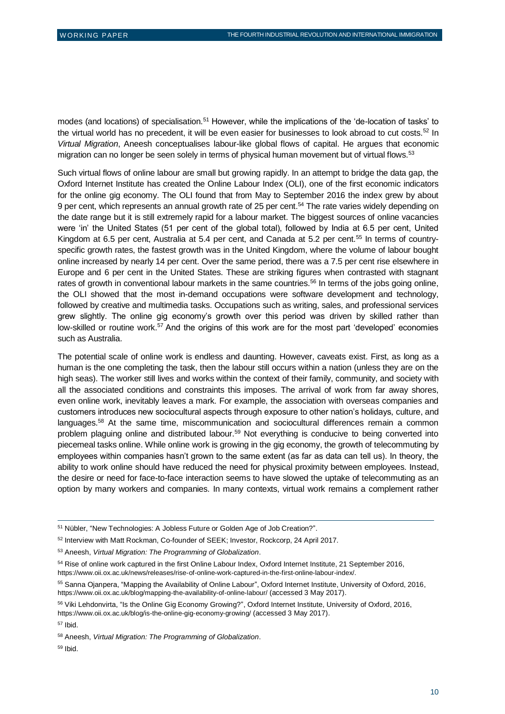modes (and locations) of specialisation.<sup>51</sup> However, while the implications of the 'de-location of tasks' to the virtual world has no precedent, it will be even easier for businesses to look abroad to cut costs.<sup>52</sup> In *Virtual Migration*, Aneesh conceptualises labour-like global flows of capital. He argues that economic migration can no longer be seen solely in terms of physical human movement but of virtual flows.<sup>53</sup>

Such virtual flows of online labour are small but growing rapidly. In an attempt to bridge the data gap, the Oxford Internet Institute has created the Online Labour Index (OLI), one of the first economic indicators for the online gig economy. The OLI found that from May to September 2016 the index grew by about 9 per cent, which represents an annual growth rate of 25 per cent.<sup>54</sup> The rate varies widely depending on the date range but it is still extremely rapid for a labour market. The biggest sources of online vacancies were 'in' the United States (51 per cent of the global total), followed by India at 6.5 per cent. United Kingdom at 6.5 per cent, Australia at 5.4 per cent, and Canada at 5.2 per cent.<sup>55</sup> In terms of countryspecific growth rates, the fastest growth was in the United Kingdom, where the volume of labour bought online increased by nearly 14 per cent. Over the same period, there was a 7.5 per cent rise elsewhere in Europe and 6 per cent in the United States. These are striking figures when contrasted with stagnant rates of growth in conventional labour markets in the same countries.<sup>56</sup> In terms of the jobs going online, the OLI showed that the most in-demand occupations were software development and technology, followed by creative and multimedia tasks. Occupations such as writing, sales, and professional services grew slightly. The online gig economy's growth over this period was driven by skilled rather than low-skilled or routine work.<sup>57</sup> And the origins of this work are for the most part 'developed' economies such as Australia.

The potential scale of online work is endless and daunting. However, caveats exist. First, as long as a human is the one completing the task, then the labour still occurs within a nation (unless they are on the high seas). The worker still lives and works within the context of their family, community, and society with all the associated conditions and constraints this imposes. The arrival of work from far away shores, even online work, inevitably leaves a mark. For example, the association with overseas companies and customers introduces new sociocultural aspects through exposure to other nation's holidays, culture, and languages.<sup>58</sup> At the same time, miscommunication and sociocultural differences remain a common problem plaguing online and distributed labour.<sup>59</sup> Not everything is conducive to being converted into piecemeal tasks online. While online work is growing in the gig economy, the growth of telecommuting by employees within companies hasn't grown to the same extent (as far as data can tell us). In theory, the ability to work online should have reduced the need for physical proximity between employees. Instead, the desire or need for face-to-face interaction seems to have slowed the uptake of telecommuting as an option by many workers and companies. In many contexts, virtual work remains a complement rather

<sup>57</sup> Ibid.

<sup>51</sup> Nübler, "New Technologies: A Jobless Future or Golden Age of Job Creation?".

<sup>52</sup> Interview with Matt Rockman, Co-founder of SEEK; Investor, Rockcorp, 24 April 2017.

<sup>53</sup> Aneesh, *Virtual Migration: The Programming of Globalization*.

<sup>54</sup> Rise of online work captured in the first Online Labour Index, Oxford Internet Institute, 21 September 2016, [https://www.oii.ox.ac.uk/news/releases/rise-of-online-work-captured-in-the-first-online-labour-index/.](https://www.oii.ox.ac.uk/news/releases/rise-of-online-work-captured-in-the-first-online-labour-index/)

<sup>55</sup> Sanna Ojanpera, "Mapping the Availability of Online Labour", Oxford Internet Institute, University of Oxford, 2016, <https://www.oii.ox.ac.uk/blog/mapping-the-availability-of-online-labour/> (accessed 3 May 2017).

<sup>56</sup> Viki Lehdonvirta, "Is the Online Gig Economy Growing?", Oxford Internet Institute, University of Oxford, 2016, <https://www.oii.ox.ac.uk/blog/is-the-online-gig-economy-growing/> (accessed 3 May 2017).

<sup>58</sup> Aneesh, *Virtual Migration: The Programming of Globalization*.

<sup>59</sup> Ibid.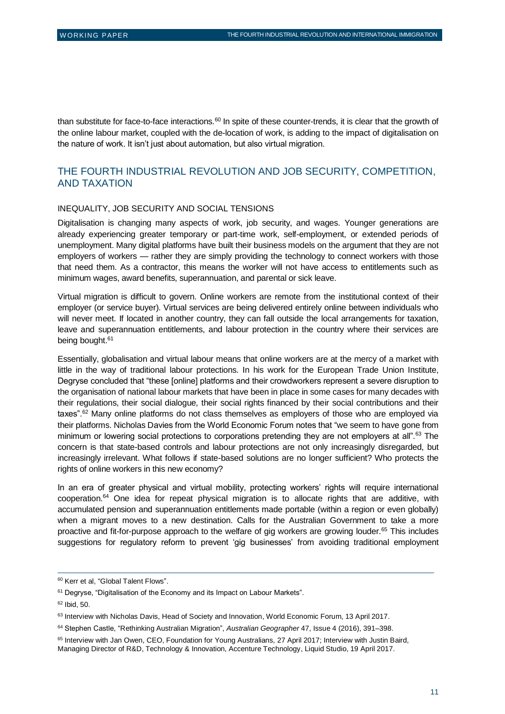than substitute for face-to-face interactions.<sup>60</sup> In spite of these counter-trends, it is clear that the growth of the online labour market, coupled with the de-location of work, is adding to the impact of digitalisation on the nature of work. It isn't just about automation, but also virtual migration.

#### THE FOURTH INDUSTRIAL REVOLUTION AND JOB SECURITY, COMPETITION, AND TAXATION

#### INEQUALITY, JOB SECURITY AND SOCIAL TENSIONS

Digitalisation is changing many aspects of work, job security, and wages. Younger generations are already experiencing greater temporary or part-time work, self-employment, or extended periods of unemployment. Many digital platforms have built their business models on the argument that they are not employers of workers — rather they are simply providing the technology to connect workers with those that need them. As a contractor, this means the worker will not have access to entitlements such as minimum wages, award benefits, superannuation, and parental or sick leave.

Virtual migration is difficult to govern. Online workers are remote from the institutional context of their employer (or service buyer). Virtual services are being delivered entirely online between individuals who will never meet. If located in another country, they can fall outside the local arrangements for taxation, leave and superannuation entitlements, and labour protection in the country where their services are being bought.<sup>61</sup>

Essentially, globalisation and virtual labour means that online workers are at the mercy of a market with little in the way of traditional labour protections. In his work for the European Trade Union Institute, Degryse concluded that "these [online] platforms and their crowdworkers represent a severe disruption to the organisation of national labour markets that have been in place in some cases for many decades with their regulations, their social dialogue, their social rights financed by their social contributions and their taxes".<sup>62</sup> Many online platforms do not class themselves as employers of those who are employed via their platforms. Nicholas Davies from the World Economic Forum notes that "we seem to have gone from minimum or lowering social protections to corporations pretending they are not employers at all".<sup>63</sup> The concern is that state-based controls and labour protections are not only increasingly disregarded, but increasingly irrelevant. What follows if state-based solutions are no longer sufficient? Who protects the rights of online workers in this new economy?

In an era of greater physical and virtual mobility, protecting workers' rights will require international cooperation.<sup>64</sup> One idea for repeat physical migration is to allocate rights that are additive, with accumulated pension and superannuation entitlements made portable (within a region or even globally) when a migrant moves to a new destination. Calls for the Australian Government to take a more proactive and fit-for-purpose approach to the welfare of gig workers are growing louder.<sup>65</sup> This includes suggestions for regulatory reform to prevent 'gig businesses' from avoiding traditional employment

<sup>60</sup> Kerr et al, "Global Talent Flows".

<sup>&</sup>lt;sup>61</sup> Degryse, "Digitalisation of the Economy and its Impact on Labour Markets".

 $62$  Ibid, 50.

<sup>63</sup> Interview with Nicholas Davis, Head of Society and Innovation, World Economic Forum, 13 April 2017.

<sup>64</sup> Stephen Castle, "Rethinking Australian Migration", *Australian Geographer* 47, Issue 4 (2016), 391–398.

<sup>&</sup>lt;sup>65</sup> Interview with Jan Owen, CEO, Foundation for Young Australians, 27 April 2017; Interview with Justin Baird, Managing Director of R&D, Technology & Innovation, Accenture Technology, Liquid Studio, 19 April 2017.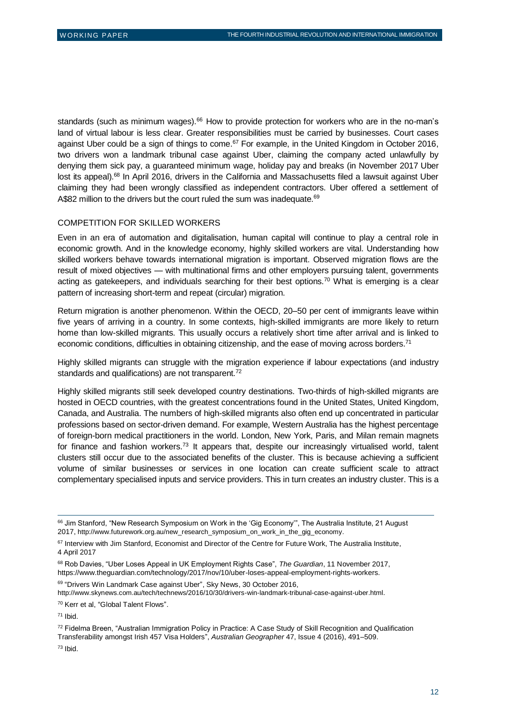standards (such as minimum wages).<sup>66</sup> How to provide protection for workers who are in the no-man's land of virtual labour is less clear. Greater responsibilities must be carried by businesses. Court cases against Uber could be a sign of things to come.<sup>67</sup> For example, in the United Kingdom in October 2016, two drivers won a landmark tribunal case against Uber, claiming the company acted unlawfully by denying them sick pay, a guaranteed minimum wage, holiday pay and breaks (in November 2017 Uber lost its appeal).<sup>68</sup> In April 2016, drivers in the California and Massachusetts filed a lawsuit against Uber claiming they had been wrongly classified as independent contractors. Uber offered a settlement of A\$82 million to the drivers but the court ruled the sum was inadequate.<sup>69</sup>

#### COMPETITION FOR SKILLED WORKERS

Even in an era of automation and digitalisation, human capital will continue to play a central role in economic growth. And in the knowledge economy, highly skilled workers are vital. Understanding how skilled workers behave towards international migration is important. Observed migration flows are the result of mixed objectives — with multinational firms and other employers pursuing talent, governments acting as gatekeepers, and individuals searching for their best options.<sup>70</sup> What is emerging is a clear pattern of increasing short-term and repeat (circular) migration.

Return migration is another phenomenon. Within the OECD, 20–50 per cent of immigrants leave within five years of arriving in a country. In some contexts, high-skilled immigrants are more likely to return home than low-skilled migrants. This usually occurs a relatively short time after arrival and is linked to economic conditions, difficulties in obtaining citizenship, and the ease of moving across borders.<sup>71</sup>

Highly skilled migrants can struggle with the migration experience if labour expectations (and industry standards and qualifications) are not transparent.<sup>72</sup>

Highly skilled migrants still seek developed country destinations. Two-thirds of high-skilled migrants are hosted in OECD countries, with the greatest concentrations found in the United States, United Kingdom, Canada, and Australia. The numbers of high-skilled migrants also often end up concentrated in particular professions based on sector-driven demand. For example, Western Australia has the highest percentage of foreign-born medical practitioners in the world. London, New York, Paris, and Milan remain magnets for finance and fashion workers.<sup>73</sup> It appears that, despite our increasingly virtualised world, talent clusters still occur due to the associated benefits of the cluster. This is because achieving a sufficient volume of similar businesses or services in one location can create sufficient scale to attract complementary specialised inputs and service providers. This in turn creates an industry cluster. This is a

<sup>68</sup> Rob Davies, "Uber Loses Appeal in UK Employment Rights Case", *The Guardian*, 11 November 2017, [https://www.theguardian.com/technology/2017/nov/10/uber-loses-appeal-employment-rights-workers.](https://www.theguardian.com/technology/2017/nov/10/uber-loses-appeal-employment-rights-workers)

<sup>69</sup> "Drivers Win Landmark Case against Uber", Sky News, 30 October 2016,

<http://www.skynews.com.au/tech/technews/2016/10/30/drivers-win-landmark-tribunal-case-against-uber.html>.

<sup>70</sup> Kerr et al, "Global Talent Flows".

 $\overline{a}$ 

72 Fidelma Breen, "Australian Immigration Policy in Practice: A Case Study of Skill Recognition and Qualification Transferability amongst Irish 457 Visa Holders", *Australian Geographer* 47, Issue 4 (2016), 491–509.

<sup>&</sup>lt;sup>66</sup> Jim Stanford, "New Research Symposium on Work in the 'Gig Economy'", The Australia Institute, 21 August 2017, [http://www.futurework.org.au/new\\_research\\_symposium\\_on\\_work\\_in\\_the\\_gig\\_economy.](http://www.futurework.org.au/new_research_symposium_on_work_in_the_gig_economy)

<sup>&</sup>lt;sup>67</sup> Interview with Jim Stanford, Economist and Director of the Centre for Future Work, The Australia Institute, 4 April 2017

 $71$  Ibid.

<sup>73</sup> Ibid.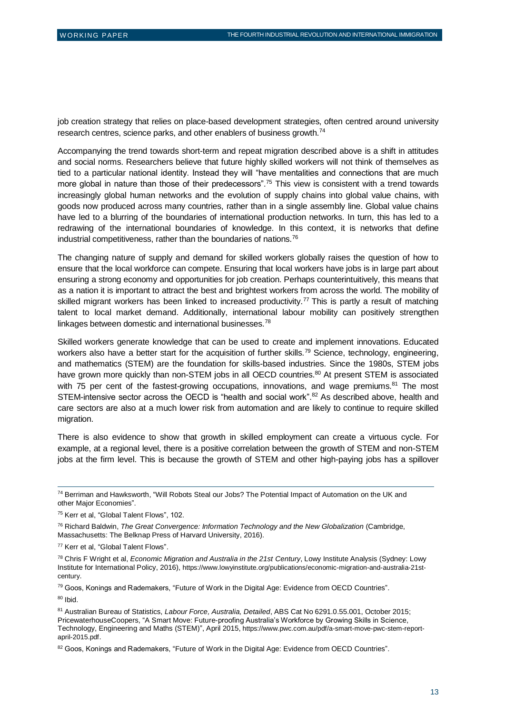job creation strategy that relies on place-based development strategies, often centred around university research centres, science parks, and other enablers of business growth.<sup>74</sup>

Accompanying the trend towards short-term and repeat migration described above is a shift in attitudes and social norms. Researchers believe that future highly skilled workers will not think of themselves as tied to a particular national identity. Instead they will "have mentalities and connections that are much more global in nature than those of their predecessors".<sup>75</sup> This view is consistent with a trend towards increasingly global human networks and the evolution of supply chains into global value chains, with goods now produced across many countries, rather than in a single assembly line. Global value chains have led to a blurring of the boundaries of international production networks. In turn, this has led to a redrawing of the international boundaries of knowledge. In this context, it is networks that define industrial competitiveness, rather than the boundaries of nations.<sup>76</sup>

The changing nature of supply and demand for skilled workers globally raises the question of how to ensure that the local workforce can compete. Ensuring that local workers have jobs is in large part about ensuring a strong economy and opportunities for job creation. Perhaps counterintuitively, this means that as a nation it is important to attract the best and brightest workers from across the world. The mobility of skilled migrant workers has been linked to increased productivity.<sup>77</sup> This is partly a result of matching talent to local market demand. Additionally, international labour mobility can positively strengthen linkages between domestic and international businesses.<sup>78</sup>

Skilled workers generate knowledge that can be used to create and implement innovations. Educated workers also have a better start for the acquisition of further skills.<sup>79</sup> Science, technology, engineering, and mathematics (STEM) are the foundation for skills-based industries. Since the 1980s, STEM jobs have grown more quickly than non-STEM jobs in all OECD countries.<sup>80</sup> At present STEM is associated with 75 per cent of the fastest-growing occupations, innovations, and wage premiums. $81$  The most STEM-intensive sector across the OECD is "health and social work".<sup>82</sup> As described above, health and care sectors are also at a much lower risk from automation and are likely to continue to require skilled migration.

There is also evidence to show that growth in skilled employment can create a virtuous cycle. For example, at a regional level, there is a positive correlation between the growth of STEM and non-STEM jobs at the firm level. This is because the growth of STEM and other high-paying jobs has a spillover

<sup>74</sup> Berriman and Hawksworth, "Will Robots Steal our Jobs? The Potential Impact of Automation on the UK and other Major Economies".

<sup>75</sup> Kerr et al, "Global Talent Flows", 102.

<sup>76</sup> Richard Baldwin, *The Great Convergence: Information Technology and the New Globalization* (Cambridge, Massachusetts: The Belknap Press of Harvard University, 2016).

<sup>77</sup> Kerr et al, "Global Talent Flows".

<sup>78</sup> Chris F Wright et al, *Economic Migration and Australia in the 21st Century*, Lowy Institute Analysis (Sydney: Lowy Institute for International Policy, 2016), [https://www.lowyinstitute.org/publications/economic-migration-and-australia-21st](https://www.lowyinstitute.org/publications/economic-migration-and-australia-21st-century)[century](https://www.lowyinstitute.org/publications/economic-migration-and-australia-21st-century).

<sup>79</sup> Goos, Konings and Rademakers, "Future of Work in the Digital Age: Evidence from OECD Countries". <sup>80</sup> Ibid.

<sup>81</sup> Australian Bureau of Statistics, *Labour Force, Australia, Detailed*, ABS Cat No 6291.0.55.001, October 2015; PricewaterhouseCoopers, "A Smart Move: Future-proofing Australia's Workforce by Growing Skills in Science, Technology, Engineering and Maths (STEM)", April 2015, [https://www.pwc.com.au/pdf/a-smart-move-pwc-stem-report](https://www.pwc.com.au/pdf/a-smart-move-pwc-stem-report-april-2015.pdf)[april-2015.pdf](https://www.pwc.com.au/pdf/a-smart-move-pwc-stem-report-april-2015.pdf).

<sup>82</sup> Goos, Konings and Rademakers, "Future of Work in the Digital Age: Evidence from OECD Countries".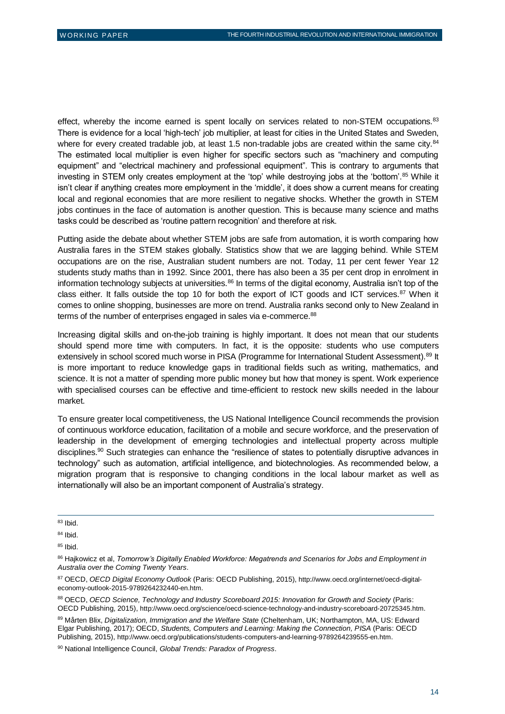effect, whereby the income earned is spent locally on services related to non-STEM occupations.<sup>83</sup> There is evidence for a local 'high-tech' job multiplier, at least for cities in the United States and Sweden, where for every created tradable job, at least 1.5 non-tradable jobs are created within the same city.<sup>84</sup> The estimated local multiplier is even higher for specific sectors such as "machinery and computing equipment" and "electrical machinery and professional equipment". This is contrary to arguments that investing in STEM only creates employment at the 'top' while destroying jobs at the 'bottom'.<sup>85</sup> While it isn't clear if anything creates more employment in the 'middle', it does show a current means for creating local and regional economies that are more resilient to negative shocks. Whether the growth in STEM jobs continues in the face of automation is another question. This is because many science and maths tasks could be described as 'routine pattern recognition' and therefore at risk.

Putting aside the debate about whether STEM jobs are safe from automation, it is worth comparing how Australia fares in the STEM stakes globally. Statistics show that we are lagging behind. While STEM occupations are on the rise, Australian student numbers are not. Today, 11 per cent fewer Year 12 students study maths than in 1992. Since 2001, there has also been a 35 per cent drop in enrolment in information technology subjects at universities. $86$  In terms of the digital economy, Australia isn't top of the class either. It falls outside the top 10 for both the export of ICT goods and ICT services.<sup>87</sup> When it comes to online shopping, businesses are more on trend. Australia ranks second only to New Zealand in terms of the number of enterprises engaged in sales via e-commerce.<sup>88</sup>

Increasing digital skills and on-the-job training is highly important. It does not mean that our students should spend more time with computers. In fact, it is the opposite: students who use computers extensively in school scored much worse in PISA (Programme for International Student Assessment).<sup>89</sup> It is more important to reduce knowledge gaps in traditional fields such as writing, mathematics, and science. It is not a matter of spending more public money but how that money is spent. Work experience with specialised courses can be effective and time-efficient to restock new skills needed in the labour market.

To ensure greater local competitiveness, the US National Intelligence Council recommends the provision of continuous workforce education, facilitation of a mobile and secure workforce, and the preservation of leadership in the development of emerging technologies and intellectual property across multiple disciplines.<sup>90</sup> Such strategies can enhance the "resilience of states to potentially disruptive advances in technology" such as automation, artificial intelligence, and biotechnologies. As recommended below, a migration program that is responsive to changing conditions in the local labour market as well as internationally will also be an important component of Australia's strategy.

<sup>83</sup> Ibid.

<sup>84</sup> Ibid.

 $85$  Ibid.

<sup>86</sup> Hajkowicz et al, *Tomorrow's Digitally Enabled Workforce: Megatrends and Scenarios for Jobs and Employment in Australia over the Coming Twenty Years*.

<sup>87</sup> OECD, *OECD Digital Economy Outlook* (Paris: OECD Publishing, 2015), [http://www.oecd.org/internet/oecd-digital](http://www.oecd.org/internet/oecd-digital-economy-outlook-2015-9789264232440-en.htm)[economy-outlook-2015-9789264232440-en.htm](http://www.oecd.org/internet/oecd-digital-economy-outlook-2015-9789264232440-en.htm).

<sup>88</sup> OECD, *OECD Science, Technology and Industry Scoreboard 2015: Innovation for Growth and Society* (Paris: OECD Publishing, 2015), <http://www.oecd.org/science/oecd-science-technology-and-industry-scoreboard-20725345.htm>.

<sup>89</sup> Mårten Blix, *Digitalization, Immigration and the Welfare State* (Cheltenham, UK; Northampton, MA, US: Edward Elgar Publishing, 2017); OECD, *Students, Computers and Learning: Making the Connection, PISA* (Paris: OECD Publishing, 2015), <http://www.oecd.org/publications/students-computers-and-learning-9789264239555-en.htm>.

<sup>90</sup> National Intelligence Council, *Global Trends: Paradox of Progress*.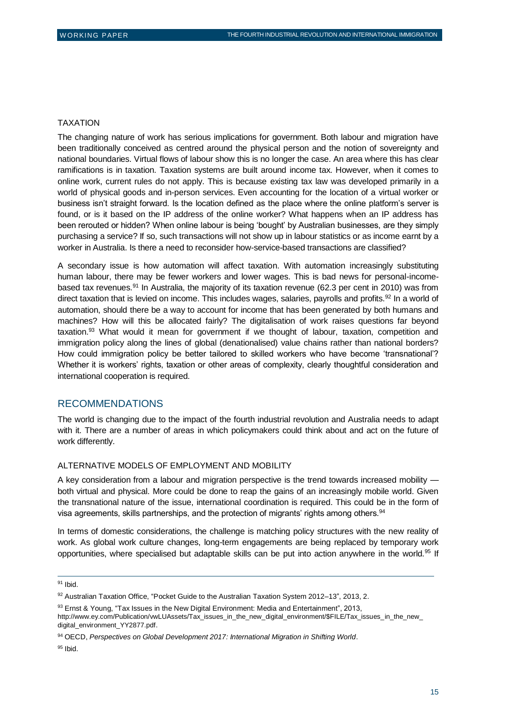#### TAXATION

The changing nature of work has serious implications for government. Both labour and migration have been traditionally conceived as centred around the physical person and the notion of sovereignty and national boundaries. Virtual flows of labour show this is no longer the case. An area where this has clear ramifications is in taxation. Taxation systems are built around income tax. However, when it comes to online work, current rules do not apply. This is because existing tax law was developed primarily in a world of physical goods and in-person services. Even accounting for the location of a virtual worker or business isn't straight forward. Is the location defined as the place where the online platform's server is found, or is it based on the IP address of the online worker? What happens when an IP address has been rerouted or hidden? When online labour is being 'bought' by Australian businesses, are they simply purchasing a service? If so, such transactions will not show up in labour statistics or as income earnt by a worker in Australia. Is there a need to reconsider how-service-based transactions are classified?

A secondary issue is how automation will affect taxation. With automation increasingly substituting human labour, there may be fewer workers and lower wages. This is bad news for personal-incomebased tax revenues.<sup>91</sup> In Australia, the majority of its taxation revenue (62.3 per cent in 2010) was from direct taxation that is levied on income. This includes wages, salaries, payrolls and profits.<sup>92</sup> In a world of automation, should there be a way to account for income that has been generated by both humans and machines? How will this be allocated fairly? The digitalisation of work raises questions far beyond taxation.<sup>93</sup> What would it mean for government if we thought of labour, taxation, competition and immigration policy along the lines of global (denationalised) value chains rather than national borders? How could immigration policy be better tailored to skilled workers who have become 'transnational'? Whether it is workers' rights, taxation or other areas of complexity, clearly thoughtful consideration and international cooperation is required.

#### RECOMMENDATIONS

The world is changing due to the impact of the fourth industrial revolution and Australia needs to adapt with it. There are a number of areas in which policymakers could think about and act on the future of work differently.

#### ALTERNATIVE MODELS OF EMPLOYMENT AND MOBILITY

A key consideration from a labour and migration perspective is the trend towards increased mobility both virtual and physical. More could be done to reap the gains of an increasingly mobile world. Given the transnational nature of the issue, international coordination is required. This could be in the form of visa agreements, skills partnerships, and the protection of migrants' rights among others.<sup>94</sup>

In terms of domestic considerations, the challenge is matching policy structures with the new reality of work. As global work culture changes, long-term engagements are being replaced by temporary work opportunities, where specialised but adaptable skills can be put into action anywhere in the world.<sup>95</sup> If

<sup>91</sup> Ibid.

<sup>92</sup> Australian Taxation Office, "Pocket Guide to the Australian Taxation System 2012-13", 2013, 2.

<sup>93</sup> Ernst & Young, "Tax Issues in the New Digital Environment: Media and Entertainment", 2013, [http://www.ey.com/Publication/vwLUAssets/Tax\\_issues\\_in\\_the\\_new\\_digital\\_environment/\\$FILE/Tax\\_issues\\_in\\_the\\_new\\_](http://www.ey.com/Publication/vwLUAssets/Tax_issues_in_the_new_digital_environment/$FILE/Tax_issues_in_the_new_digital_environment_YY2877.pdf) [digital\\_environment\\_YY2877.pdf](http://www.ey.com/Publication/vwLUAssets/Tax_issues_in_the_new_digital_environment/$FILE/Tax_issues_in_the_new_digital_environment_YY2877.pdf).

<sup>94</sup> OECD, *Perspectives on Global Development 2017: International Migration in Shifting World*.

<sup>95</sup> Ibid.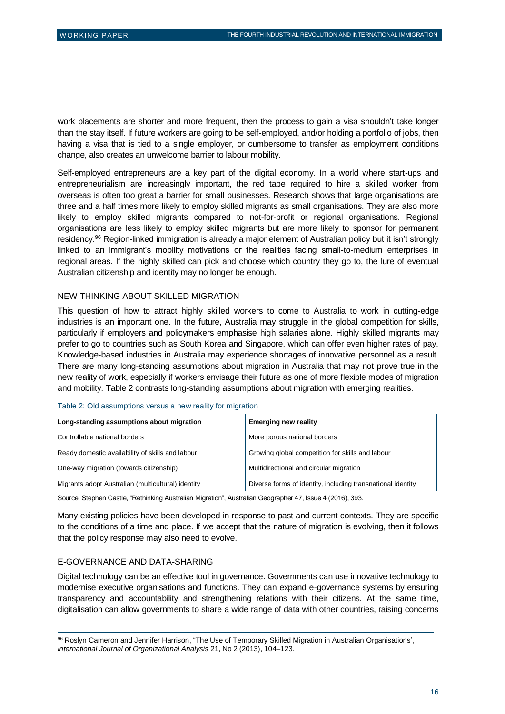work placements are shorter and more frequent, then the process to gain a visa shouldn't take longer than the stay itself. If future workers are going to be self-employed, and/or holding a portfolio of jobs, then having a visa that is tied to a single employer, or cumbersome to transfer as employment conditions change, also creates an unwelcome barrier to labour mobility.

Self-employed entrepreneurs are a key part of the digital economy. In a world where start-ups and entrepreneurialism are increasingly important, the red tape required to hire a skilled worker from overseas is often too great a barrier for small businesses. Research shows that large organisations are three and a half times more likely to employ skilled migrants as small organisations. They are also more likely to employ skilled migrants compared to not-for-profit or regional organisations. Regional organisations are less likely to employ skilled migrants but are more likely to sponsor for permanent residency.<sup>96</sup> Region-linked immigration is already a major element of Australian policy but it isn't strongly linked to an immigrant's mobility motivations or the realities facing small-to-medium enterprises in regional areas. If the highly skilled can pick and choose which country they go to, the lure of eventual Australian citizenship and identity may no longer be enough.

#### NEW THINKING ABOUT SKILLED MIGRATION

This question of how to attract highly skilled workers to come to Australia to work in cutting-edge industries is an important one. In the future, Australia may struggle in the global competition for skills, particularly if employers and policymakers emphasise high salaries alone. Highly skilled migrants may prefer to go to countries such as South Korea and Singapore, which can offer even higher rates of pay. Knowledge-based industries in Australia may experience shortages of innovative personnel as a result. There are many long-standing assumptions about migration in Australia that may not prove true in the new reality of work, especially if workers envisage their future as one of more flexible modes of migration and mobility. Table 2 contrasts long-standing assumptions about migration with emerging realities.

| Long-standing assumptions about migration          | <b>Emerging new reality</b>                                 |
|----------------------------------------------------|-------------------------------------------------------------|
| Controllable national borders                      | More porous national borders                                |
| Ready domestic availability of skills and labour   | Growing global competition for skills and labour            |
| One-way migration (towards citizenship)            | Multidirectional and circular migration                     |
| Migrants adopt Australian (multicultural) identity | Diverse forms of identity, including transnational identity |

#### Table 2: Old assumptions versus a new reality for migration

Source: Stephen Castle, "Rethinking Australian Migration", Australian Geographer 47, Issue 4 (2016), 393.

Many existing policies have been developed in response to past and current contexts. They are specific to the conditions of a time and place. If we accept that the nature of migration is evolving, then it follows that the policy response may also need to evolve.

#### E-GOVERNANCE AND DATA-SHARING

 $\overline{a}$ 

Digital technology can be an effective tool in governance. Governments can use innovative technology to modernise executive organisations and functions. They can expand e-governance systems by ensuring transparency and accountability and strengthening relations with their citizens. At the same time, digitalisation can allow governments to share a wide range of data with other countries, raising concerns

<sup>96</sup> Roslyn Cameron and Jennifer Harrison, "The Use of Temporary Skilled Migration in Australian Organisations', *International Journal of Organizational Analysis* 21, No 2 (2013), 104–123.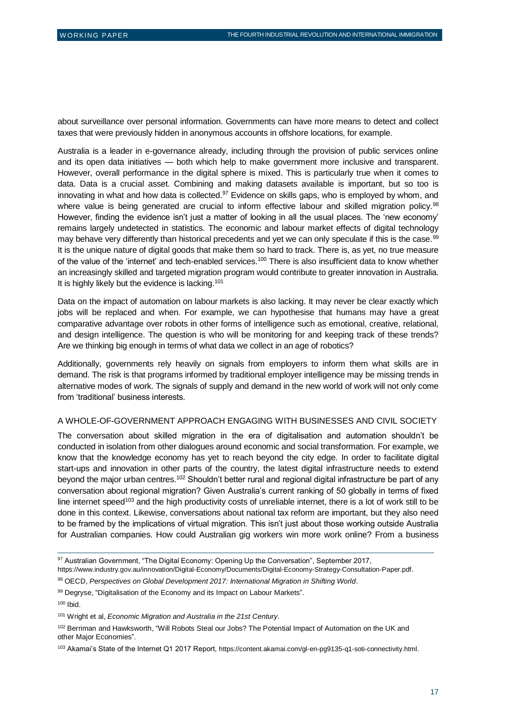about surveillance over personal information. Governments can have more means to detect and collect taxes that were previously hidden in anonymous accounts in offshore locations, for example.

Australia is a leader in e-governance already, including through the provision of public services online and its open data initiatives — both which help to make government more inclusive and transparent. However, overall performance in the digital sphere is mixed. This is particularly true when it comes to data. Data is a crucial asset. Combining and making datasets available is important, but so too is innovating in what and how data is collected.<sup>97</sup> Evidence on skills gaps, who is employed by whom, and where value is being generated are crucial to inform effective labour and skilled migration policy.<sup>98</sup> However, finding the evidence isn't just a matter of looking in all the usual places. The 'new economy' remains largely undetected in statistics. The economic and labour market effects of digital technology may behave very differently than historical precedents and yet we can only speculate if this is the case.<sup>99</sup> It is the unique nature of digital goods that make them so hard to track. There is, as yet, no true measure of the value of the 'internet' and tech-enabled services.<sup>100</sup> There is also insufficient data to know whether an increasingly skilled and targeted migration program would contribute to greater innovation in Australia. It is highly likely but the evidence is lacking.<sup>101</sup>

Data on the impact of automation on labour markets is also lacking. It may never be clear exactly which jobs will be replaced and when. For example, we can hypothesise that humans may have a great comparative advantage over robots in other forms of intelligence such as emotional, creative, relational, and design intelligence. The question is who will be monitoring for and keeping track of these trends? Are we thinking big enough in terms of what data we collect in an age of robotics?

Additionally, governments rely heavily on signals from employers to inform them what skills are in demand. The risk is that programs informed by traditional employer intelligence may be missing trends in alternative modes of work. The signals of supply and demand in the new world of work will not only come from 'traditional' business interests.

#### A WHOLE-OF-GOVERNMENT APPROACH ENGAGING WITH BUSINESSES AND CIVIL SOCIETY

The conversation about skilled migration in the era of digitalisation and automation shouldn't be conducted in isolation from other dialogues around economic and social transformation. For example, we know that the knowledge economy has yet to reach beyond the city edge. In order to facilitate digital start-ups and innovation in other parts of the country, the latest digital infrastructure needs to extend beyond the major urban centres.<sup>102</sup> Shouldn't better rural and regional digital infrastructure be part of any conversation about regional migration? Given Australia's current ranking of 50 globally in terms of fixed line internet speed<sup>103</sup> and the high productivity costs of unreliable internet, there is a lot of work still to be done in this context. Likewise, conversations about national tax reform are important, but they also need to be framed by the implications of virtual migration. This isn't just about those working outside Australia for Australian companies. How could Australian gig workers win more work online? From a business

<sup>100</sup> Ibid.

<sup>97</sup> Australian Government, "The Digital Economy: Opening Up the Conversation", September 2017,

<https://www.industry.gov.au/innovation/Digital-Economy/Documents/Digital-Economy-Strategy-Consultation-Paper.pdf>.

<sup>98</sup> OECD, *Perspectives on Global Development 2017: International Migration in Shifting World*.

<sup>99</sup> Degryse, "Digitalisation of the Economy and its Impact on Labour Markets".

<sup>101</sup> Wright et al, *Economic Migration and Australia in the 21st Century*.

<sup>&</sup>lt;sup>102</sup> Berriman and Hawksworth, "Will Robots Steal our Jobs? The Potential Impact of Automation on the UK and other Major Economies".

<sup>103</sup> Akamai's State of the Internet Q1 2017 Report, <https://content.akamai.com/gl-en-pg9135-q1-soti-connectivity.html>.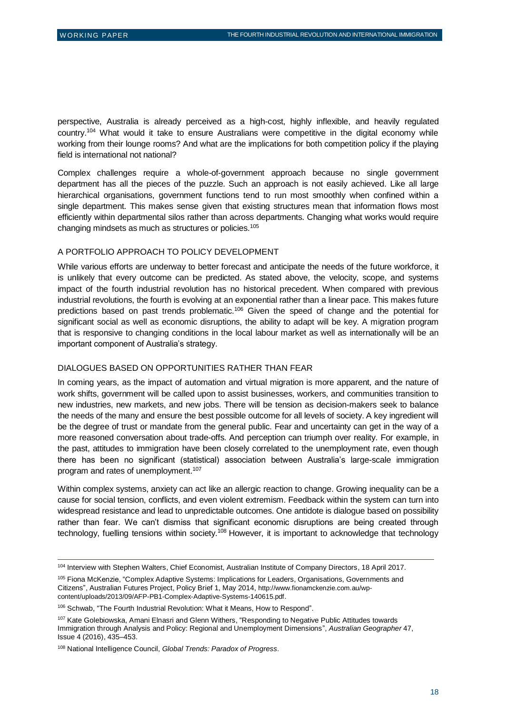perspective, Australia is already perceived as a high-cost, highly inflexible, and heavily regulated country.<sup>104</sup> What would it take to ensure Australians were competitive in the digital economy while working from their lounge rooms? And what are the implications for both competition policy if the playing field is international not national?

Complex challenges require a whole-of-government approach because no single government department has all the pieces of the puzzle. Such an approach is not easily achieved. Like all large hierarchical organisations, government functions tend to run most smoothly when confined within a single department. This makes sense given that existing structures mean that information flows most efficiently within departmental silos rather than across departments. Changing what works would require changing mindsets as much as structures or policies.<sup>105</sup>

#### A PORTFOLIO APPROACH TO POLICY DEVELOPMENT

While various efforts are underway to better forecast and anticipate the needs of the future workforce, it is unlikely that every outcome can be predicted. As stated above, the velocity, scope, and systems impact of the fourth industrial revolution has no historical precedent. When compared with previous industrial revolutions, the fourth is evolving at an exponential rather than a linear pace. This makes future predictions based on past trends problematic.<sup>106</sup> Given the speed of change and the potential for significant social as well as economic disruptions, the ability to adapt will be key. A migration program that is responsive to changing conditions in the local labour market as well as internationally will be an important component of Australia's strategy.

#### DIALOGUES BASED ON OPPORTUNITIES RATHER THAN FEAR

In coming years, as the impact of automation and virtual migration is more apparent, and the nature of work shifts, government will be called upon to assist businesses, workers, and communities transition to new industries, new markets, and new jobs. There will be tension as decision-makers seek to balance the needs of the many and ensure the best possible outcome for all levels of society. A key ingredient will be the degree of trust or mandate from the general public. Fear and uncertainty can get in the way of a more reasoned conversation about trade-offs. And perception can triumph over reality. For example, in the past, attitudes to immigration have been closely correlated to the unemployment rate, even though there has been no significant (statistical) association between Australia's large-scale immigration program and rates of unemployment.<sup>107</sup>

Within complex systems, anxiety can act like an allergic reaction to change. Growing inequality can be a cause for social tension, conflicts, and even violent extremism. Feedback within the system can turn into widespread resistance and lead to unpredictable outcomes. One antidote is dialogue based on possibility rather than fear. We can't dismiss that significant economic disruptions are being created through technology, fuelling tensions within society.<sup>108</sup> However, it is important to acknowledge that technology

<sup>104</sup> Interview with Stephen Walters, Chief Economist, Australian Institute of Company Directors, 18 April 2017.

<sup>105</sup> Fiona McKenzie, "Complex Adaptive Systems: Implications for Leaders, Organisations, Governments and Citizens", Australian Futures Project, Policy Brief 1, May 2014, [http://www.fionamckenzie.com.au/wp](http://www.fionamckenzie.com.au/wp-content/uploads/2013/09/AFP-PB1-Complex-Adaptive-Systems-140615.pdf)[content/uploads/2013/09/AFP-PB1-Complex-Adaptive-Systems-140615.pdf](http://www.fionamckenzie.com.au/wp-content/uploads/2013/09/AFP-PB1-Complex-Adaptive-Systems-140615.pdf).

<sup>106</sup> Schwab, "The Fourth Industrial Revolution: What it Means, How to Respond".

<sup>&</sup>lt;sup>107</sup> Kate Golebiowska, Amani Elnasri and Glenn Withers, "Responding to Negative Public Attitudes towards Immigration through Analysis and Policy: Regional and Unemployment Dimensions", *Australian Geographer* 47, Issue 4 (2016), 435–453.

<sup>108</sup> National Intelligence Council, *Global Trends: Paradox of Progress*.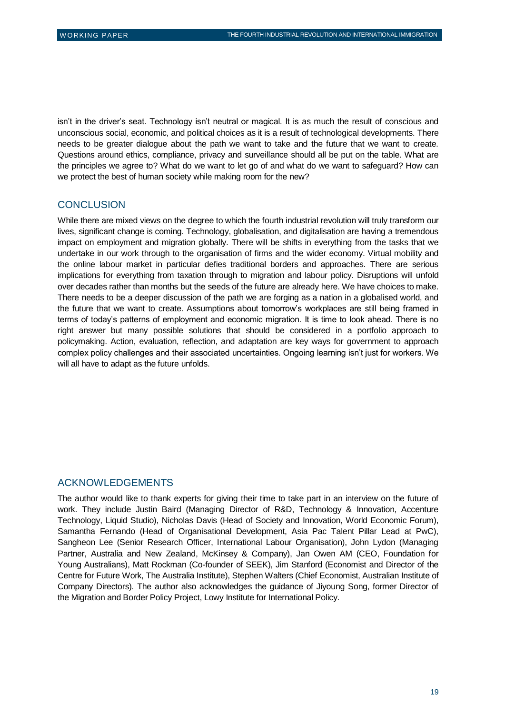isn't in the driver's seat. Technology isn't neutral or magical. It is as much the result of conscious and unconscious social, economic, and political choices as it is a result of technological developments. There needs to be greater dialogue about the path we want to take and the future that we want to create. Questions around ethics, compliance, privacy and surveillance should all be put on the table. What are the principles we agree to? What do we want to let go of and what do we want to safeguard? How can we protect the best of human society while making room for the new?

#### **CONCLUSION**

While there are mixed views on the degree to which the fourth industrial revolution will truly transform our lives, significant change is coming. Technology, globalisation, and digitalisation are having a tremendous impact on employment and migration globally. There will be shifts in everything from the tasks that we undertake in our work through to the organisation of firms and the wider economy. Virtual mobility and the online labour market in particular defies traditional borders and approaches. There are serious implications for everything from taxation through to migration and labour policy. Disruptions will unfold over decades rather than months but the seeds of the future are already here. We have choices to make. There needs to be a deeper discussion of the path we are forging as a nation in a globalised world, and the future that we want to create. Assumptions about tomorrow's workplaces are still being framed in terms of today's patterns of employment and economic migration. It is time to look ahead. There is no right answer but many possible solutions that should be considered in a portfolio approach to policymaking. Action, evaluation, reflection, and adaptation are key ways for government to approach complex policy challenges and their associated uncertainties. Ongoing learning isn't just for workers. We will all have to adapt as the future unfolds.

#### ACKNOWLEDGEMENTS

The author would like to thank experts for giving their time to take part in an interview on the future of work. They include Justin Baird (Managing Director of R&D, Technology & Innovation, Accenture Technology, Liquid Studio), Nicholas Davis (Head of Society and Innovation, World Economic Forum), Samantha Fernando (Head of Organisational Development, Asia Pac Talent Pillar Lead at PwC), Sangheon Lee (Senior Research Officer, International Labour Organisation), John Lydon (Managing Partner, Australia and New Zealand, McKinsey & Company), Jan Owen AM (CEO, Foundation for Young Australians), Matt Rockman (Co-founder of SEEK), Jim Stanford (Economist and Director of the Centre for Future Work, The Australia Institute), Stephen Walters (Chief Economist, Australian Institute of Company Directors). The author also acknowledges the guidance of Jiyoung Song, former Director of the Migration and Border Policy Project, Lowy Institute for International Policy.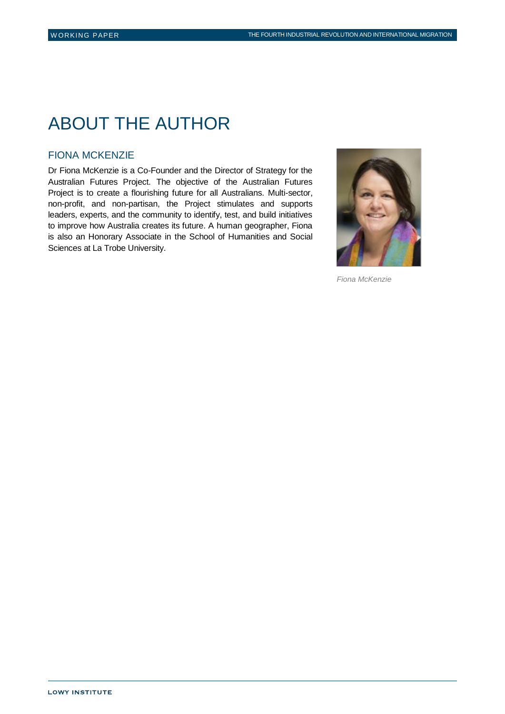# ABOUT THE AUTHOR

#### FIONA MCKENZIE

Dr Fiona McKenzie is a Co-Founder and the Director of Strategy for the Australian Futures Project. The objective of the Australian Futures Project is to create a flourishing future for all Australians. Multi-sector, non-profit, and non-partisan, the Project stimulates and supports leaders, experts, and the community to identify, test, and build initiatives to improve how Australia creates its future. A human geographer, Fiona is also an Honorary Associate in the School of Humanities and Social Sciences at La Trobe University.



*Fiona McKenzie*